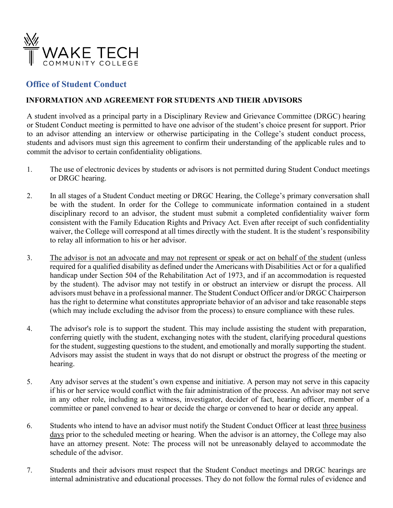

## **Office of Student Conduct**

## **INFORMATION AND AGREEMENT FOR STUDENTS AND THEIR ADVISORS**

A student involved as a principal party in a Disciplinary Review and Grievance Committee (DRGC) hearing or Student Conduct meeting is permitted to have one advisor of the student's choice present for support. Prior to an advisor attending an interview or otherwise participating in the College's student conduct process, students and advisors must sign this agreement to confirm their understanding of the applicable rules and to commit the advisor to certain confidentiality obligations.

- 1. The use of electronic devices by students or advisors is not permitted during Student Conduct meetings or DRGC hearing.
- 2. In all stages of a Student Conduct meeting or DRGC Hearing, the College's primary conversation shall be with the student. In order for the College to communicate information contained in a student disciplinary record to an advisor, the student must submit a completed confidentiality waiver form consistent with the Family Education Rights and Privacy Act. Even after receipt of such confidentiality waiver, the College will correspond at all times directly with the student. It is the student's responsibility to relay all information to his or her advisor.
- 3. The advisor is not an advocate and may not represent or speak or act on behalf of the student (unless required for a qualified disability as defined under the Americans with Disabilities Act or for a qualified handicap under Section 504 of the Rehabilitation Act of 1973, and if an accommodation is requested by the student). The advisor may not testify in or obstruct an interview or disrupt the process. All advisors must behave in a professional manner. The Student Conduct Officer and/or DRGC Chairperson has the right to determine what constitutes appropriate behavior of an advisor and take reasonable steps (which may include excluding the advisor from the process) to ensure compliance with these rules.
- 4. The advisor's role is to support the student. This may include assisting the student with preparation, conferring quietly with the student, exchanging notes with the student, clarifying procedural questions for the student, suggesting questions to the student, and emotionally and morally supporting the student. Advisors may assist the student in ways that do not disrupt or obstruct the progress of the meeting or hearing.
- 5. Any advisor serves at the student's own expense and initiative. A person may not serve in this capacity if his or her service would conflict with the fair administration of the process. An advisor may not serve in any other role, including as a witness, investigator, decider of fact, hearing officer, member of a committee or panel convened to hear or decide the charge or convened to hear or decide any appeal.
- 6. Students who intend to have an advisor must notify the Student Conduct Officer at least three business days prior to the scheduled meeting or hearing. When the advisor is an attorney, the College may also have an attorney present. Note: The process will not be unreasonably delayed to accommodate the schedule of the advisor.
- 7. Students and their advisors must respect that the Student Conduct meetings and DRGC hearings are internal administrative and educational processes. They do not follow the formal rules of evidence and